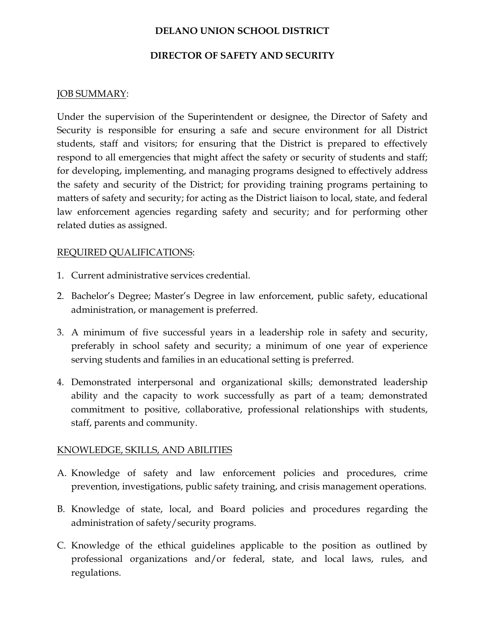# DELANO UNION SCHOOL DISTRICT

#### DIRECTOR OF SAFETY AND SECURITY

## JOB SUMMARY:

Under the supervision of the Superintendent or designee, the Director of Safety and Security is responsible for ensuring a safe and secure environment for all District students, staff and visitors; for ensuring that the District is prepared to effectively respond to all emergencies that might affect the safety or security of students and staff; for developing, implementing, and managing programs designed to effectively address the safety and security of the District; for providing training programs pertaining to matters of safety and security; for acting as the District liaison to local, state, and federal law enforcement agencies regarding safety and security; and for performing other related duties as assigned.

#### REQUIRED QUALIFICATIONS:

- 1. Current administrative services credential.
- 2. Bachelor's Degree; Master's Degree in law enforcement, public safety, educational administration, or management is preferred.
- 3. A minimum of five successful years in a leadership role in safety and security, preferably in school safety and security; a minimum of one year of experience serving students and families in an educational setting is preferred.
- 4. Demonstrated interpersonal and organizational skills; demonstrated leadership ability and the capacity to work successfully as part of a team; demonstrated commitment to positive, collaborative, professional relationships with students, staff, parents and community.

#### KNOWLEDGE, SKILLS, AND ABILITIES

- A. Knowledge of safety and law enforcement policies and procedures, crime prevention, investigations, public safety training, and crisis management operations.
- B. Knowledge of state, local, and Board policies and procedures regarding the administration of safety/security programs.
- C. Knowledge of the ethical guidelines applicable to the position as outlined by professional organizations and/or federal, state, and local laws, rules, and regulations.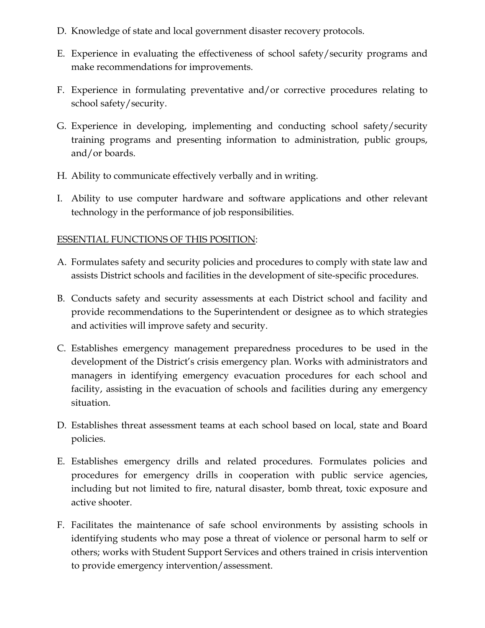- D. Knowledge of state and local government disaster recovery protocols.
- E. Experience in evaluating the effectiveness of school safety/security programs and make recommendations for improvements.
- F. Experience in formulating preventative and/or corrective procedures relating to school safety/security.
- G. Experience in developing, implementing and conducting school safety/security training programs and presenting information to administration, public groups, and/or boards.
- H. Ability to communicate effectively verbally and in writing.
- I. Ability to use computer hardware and software applications and other relevant technology in the performance of job responsibilities.

## ESSENTIAL FUNCTIONS OF THIS POSITION:

- A. Formulates safety and security policies and procedures to comply with state law and assists District schools and facilities in the development of site-specific procedures.
- B. Conducts safety and security assessments at each District school and facility and provide recommendations to the Superintendent or designee as to which strategies and activities will improve safety and security.
- C. Establishes emergency management preparedness procedures to be used in the development of the District's crisis emergency plan. Works with administrators and managers in identifying emergency evacuation procedures for each school and facility, assisting in the evacuation of schools and facilities during any emergency situation.
- D. Establishes threat assessment teams at each school based on local, state and Board policies.
- E. Establishes emergency drills and related procedures. Formulates policies and procedures for emergency drills in cooperation with public service agencies, including but not limited to fire, natural disaster, bomb threat, toxic exposure and active shooter.
- F. Facilitates the maintenance of safe school environments by assisting schools in identifying students who may pose a threat of violence or personal harm to self or others; works with Student Support Services and others trained in crisis intervention to provide emergency intervention/assessment.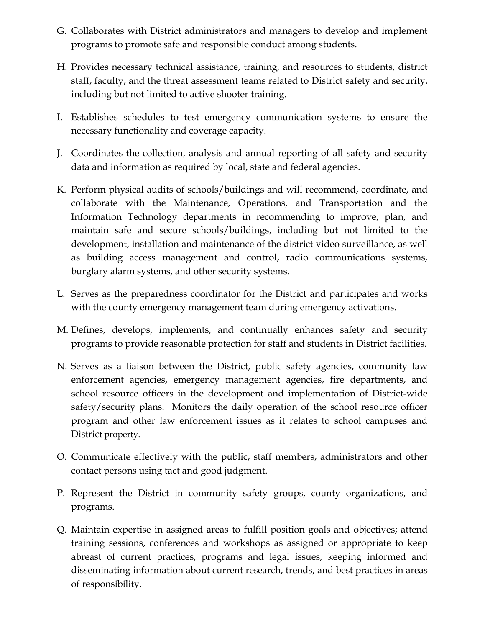- G. Collaborates with District administrators and managers to develop and implement programs to promote safe and responsible conduct among students.
- H. Provides necessary technical assistance, training, and resources to students, district staff, faculty, and the threat assessment teams related to District safety and security, including but not limited to active shooter training.
- I. Establishes schedules to test emergency communication systems to ensure the necessary functionality and coverage capacity.
- J. Coordinates the collection, analysis and annual reporting of all safety and security data and information as required by local, state and federal agencies.
- K. Perform physical audits of schools/buildings and will recommend, coordinate, and collaborate with the Maintenance, Operations, and Transportation and the Information Technology departments in recommending to improve, plan, and maintain safe and secure schools/buildings, including but not limited to the development, installation and maintenance of the district video surveillance, as well as building access management and control, radio communications systems, burglary alarm systems, and other security systems.
- L. Serves as the preparedness coordinator for the District and participates and works with the county emergency management team during emergency activations.
- M. Defines, develops, implements, and continually enhances safety and security programs to provide reasonable protection for staff and students in District facilities.
- N. Serves as a liaison between the District, public safety agencies, community law enforcement agencies, emergency management agencies, fire departments, and school resource officers in the development and implementation of District-wide safety/security plans. Monitors the daily operation of the school resource officer program and other law enforcement issues as it relates to school campuses and District property.
- O. Communicate effectively with the public, staff members, administrators and other contact persons using tact and good judgment.
- P. Represent the District in community safety groups, county organizations, and programs.
- Q. Maintain expertise in assigned areas to fulfill position goals and objectives; attend training sessions, conferences and workshops as assigned or appropriate to keep abreast of current practices, programs and legal issues, keeping informed and disseminating information about current research, trends, and best practices in areas of responsibility.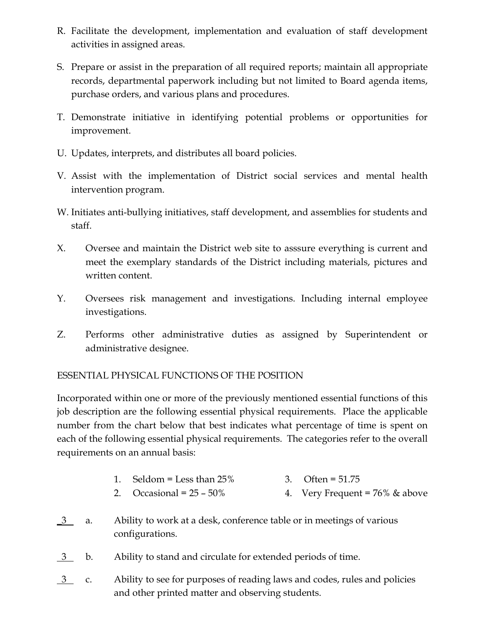- R. Facilitate the development, implementation and evaluation of staff development activities in assigned areas.
- S. Prepare or assist in the preparation of all required reports; maintain all appropriate records, departmental paperwork including but not limited to Board agenda items, purchase orders, and various plans and procedures.
- T. Demonstrate initiative in identifying potential problems or opportunities for improvement.
- U. Updates, interprets, and distributes all board policies.
- V. Assist with the implementation of District social services and mental health intervention program.
- W. Initiates anti-bullying initiatives, staff development, and assemblies for students and staff.
- X. Oversee and maintain the District web site to asssure everything is current and meet the exemplary standards of the District including materials, pictures and written content.
- Y. Oversees risk management and investigations. Including internal employee investigations.
- Z. Performs other administrative duties as assigned by Superintendent or administrative designee.

# ESSENTIAL PHYSICAL FUNCTIONS OF THE POSITION

Incorporated within one or more of the previously mentioned essential functions of this job description are the following essential physical requirements. Place the applicable number from the chart below that best indicates what percentage of time is spent on each of the following essential physical requirements. The categories refer to the overall requirements on an annual basis:

- 1. Seldom = Less than  $25\%$  3. Often =  $51.75$
- 2. Occasional =  $25 50\%$  4. Very Frequent =  $76\%$  & above
- \_3 a. Ability to work at a desk, conference table or in meetings of various configurations.
- 3 b. Ability to stand and circulate for extended periods of time.
- 3 c. Ability to see for purposes of reading laws and codes, rules and policies and other printed matter and observing students.